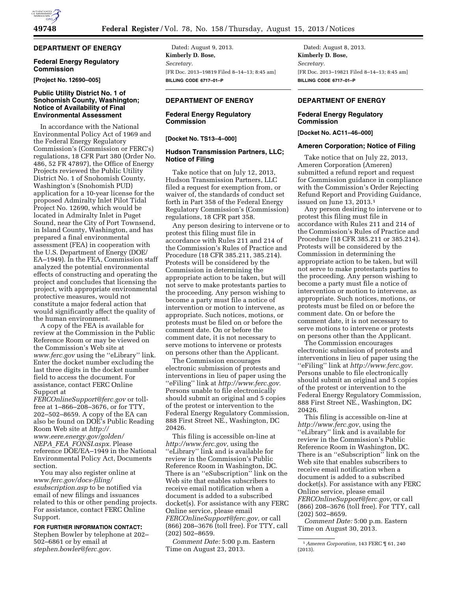# **DEPARTMENT OF ENERGY**

## **Federal Energy Regulatory Commission**

**[Project No. 12690–005]** 

## **Public Utility District No. 1 of Snohomish County, Washington; Notice of Availability of Final Environmental Assessment**

In accordance with the National Environmental Policy Act of 1969 and the Federal Energy Regulatory Commission's (Commission or FERC's) regulations, 18 CFR Part 380 (Order No. 486, 52 FR 47897), the Office of Energy Projects reviewed the Public Utility District No. 1 of Snohomish County, Washington's (Snohomish PUD) application for a 10-year license for the proposed Admiralty Inlet Pilot Tidal Project No. 12690, which would be located in Admiralty Inlet in Puget Sound, near the City of Port Townsend, in Island County, Washington, and has prepared a final environmental assessment (FEA) in cooperation with the U.S. Department of Energy (DOE/ EA–1949). In the FEA, Commission staff analyzed the potential environmental effects of constructing and operating the project and concludes that licensing the project, with appropriate environmental protective measures, would not constitute a major federal action that would significantly affect the quality of the human environment.

A copy of the FEA is available for review at the Commission in the Public Reference Room or may be viewed on the Commission's Web site at *[www.ferc.gov](http://www.ferc.gov)* using the ''eLibrary'' link. Enter the docket number excluding the last three digits in the docket number field to access the document. For assistance, contact FERC Online Support at

*[FERCOnlineSupport@ferc.gov](mailto:FERCOnlineSupport@ferc.gov)* or tollfree at 1–866–208–3676, or for TTY, 202–502–8659. A copy of the EA can also be found on DOE's Public Reading Room Web site at *[http://](http://www.eere.energy.gov/golden/NEPA_FEA_FONSI.aspx)  [www.eere.energy.gov/golden/](http://www.eere.energy.gov/golden/NEPA_FEA_FONSI.aspx) NEPA*\_*FEA*\_*[FONSI.aspx.](http://www.eere.energy.gov/golden/NEPA_FEA_FONSI.aspx)* Please reference DOE/EA–1949 in the National Environmental Policy Act, Documents section.

You may also register online at *[www.ferc.gov/docs-filing/](http://www.ferc.gov/docs-filing/esubscription.asp)  [esubscription.asp](http://www.ferc.gov/docs-filing/esubscription.asp)* to be notified via email of new filings and issuances related to this or other pending projects. For assistance, contact FERC Online Support.

**FOR FURTHER INFORMATION CONTACT:**  Stephen Bowler by telephone at 202–

502–6861 or by email at *[stephen.bowler@ferc.gov.](mailto:stephen.bowler@ferc.gov)* 

Dated: August 9, 2013. **Kimberly D. Bose,**  *Secretary.*  [FR Doc. 2013–19819 Filed 8–14–13; 8:45 am] **BILLING CODE 6717–01–P** 

# **DEPARTMENT OF ENERGY**

# **Federal Energy Regulatory Commission**

**[Docket No. TS13–4–000]** 

#### **Hudson Transmission Partners, LLC; Notice of Filing**

Take notice that on July 12, 2013, Hudson Transmission Partners, LLC filed a request for exemption from, or waiver of, the standards of conduct set forth in Part 358 of the Federal Energy Regulatory Commission's (Commission) regulations, 18 CFR part 358.

Any person desiring to intervene or to protest this filing must file in accordance with Rules 211 and 214 of the Commission's Rules of Practice and Procedure (18 CFR 385.211, 385.214). Protests will be considered by the Commission in determining the appropriate action to be taken, but will not serve to make protestants parties to the proceeding. Any person wishing to become a party must file a notice of intervention or motion to intervene, as appropriate. Such notices, motions, or protests must be filed on or before the comment date. On or before the comment date, it is not necessary to serve motions to intervene or protests on persons other than the Applicant.

The Commission encourages electronic submission of protests and interventions in lieu of paper using the ''eFiling'' link at *[http://www.ferc.gov.](http://www.ferc.gov)*  Persons unable to file electronically should submit an original and 5 copies of the protest or intervention to the Federal Energy Regulatory Commission, 888 First Street NE., Washington, DC 20426.

This filing is accessible on-line at *[http://www.ferc.gov,](http://www.ferc.gov)* using the ''eLibrary'' link and is available for review in the Commission's Public Reference Room in Washington, DC. There is an ''eSubscription'' link on the Web site that enables subscribers to receive email notification when a document is added to a subscribed docket(s). For assistance with any FERC Online service, please email *[FERCOnlineSupport@ferc.gov,](mailto:FERCOnlineSupport@ferc.gov)* or call (866) 208–3676 (toll free). For TTY, call (202) 502–8659.

*Comment Date:* 5:00 p.m. Eastern Time on August 23, 2013.

Dated: August 8, 2013. **Kimberly D. Bose,**  *Secretary.*  [FR Doc. 2013–19821 Filed 8–14–13; 8:45 am] **BILLING CODE 6717–01–P** 

# **DEPARTMENT OF ENERGY**

# **Federal Energy Regulatory Commission**

**[Docket No. AC11–46–000]** 

#### **Ameren Corporation; Notice of Filing**

Take notice that on July 22, 2013, Ameren Corporation (Ameren) submitted a refund report and request for Commission guidance in compliance with the Commission's Order Rejecting Refund Report and Providing Guidance, issued on June 13, 2013.1

Any person desiring to intervene or to protest this filing must file in accordance with Rules 211 and 214 of the Commission's Rules of Practice and Procedure (18 CFR 385.211 or 385.214). Protests will be considered by the Commission in determining the appropriate action to be taken, but will not serve to make protestants parties to the proceeding. Any person wishing to become a party must file a notice of intervention or motion to intervene, as appropriate. Such notices, motions, or protests must be filed on or before the comment date. On or before the comment date, it is not necessary to serve motions to intervene or protests on persons other than the Applicant.

The Commission encourages electronic submission of protests and interventions in lieu of paper using the ''eFiling'' link at *[http://www.ferc.gov.](http://www.ferc.gov)*  Persons unable to file electronically should submit an original and 5 copies of the protest or intervention to the Federal Energy Regulatory Commission, 888 First Street NE., Washington, DC 20426.

This filing is accessible on-line at *<http://www.ferc.gov>*, using the ''eLibrary'' link and is available for review in the Commission's Public Reference Room in Washington, DC. There is an ''eSubscription'' link on the Web site that enables subscribers to receive email notification when a document is added to a subscribed docket(s). For assistance with any FERC Online service, please email *[FERCOnlineSupport@ferc.gov](mailto:FERCOnlineSupport@ferc.gov)*, or call (866) 208–3676 (toll free). For TTY, call (202) 502–8659.

*Comment Date:* 5:00 p.m. Eastern Time on August 30, 2013.

<sup>1</sup>*Ameren Corporation,* 143 FERC ¶ 61, 240 (2013).